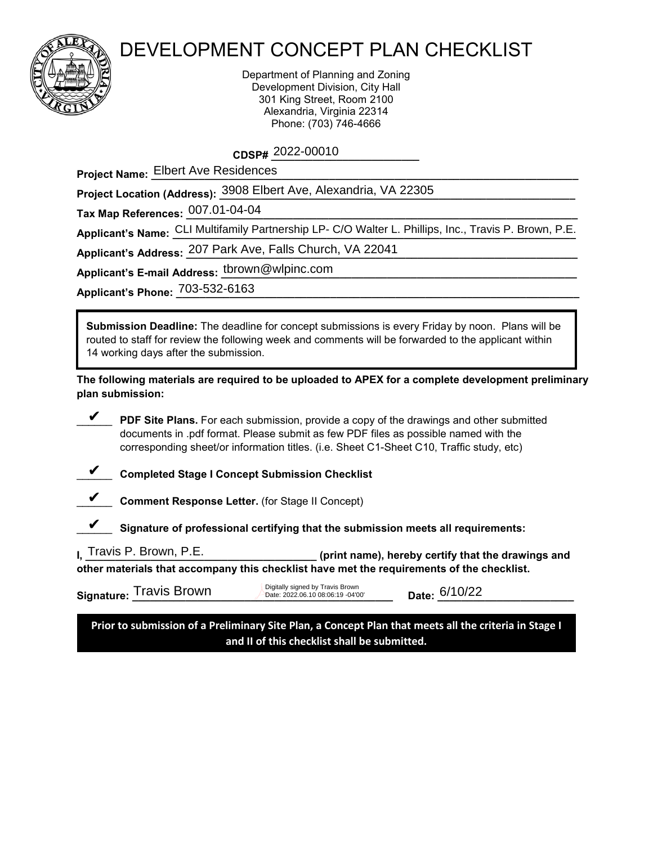

# DEVELOPMENT CONCEPT PLAN CHECKLIST

Department of Planning and Zoning Development Division, City Hall 301 King Street, Room 2100 Alexandria, Virginia 22314 Phone: (703) 746-4666

**CDSP# \_\_\_\_\_\_\_\_\_\_\_\_\_\_\_\_\_\_\_\_\_\_\_\_\_** 2022-00010

**Project Name: \_\_\_\_\_\_\_\_\_\_\_\_\_\_\_\_\_\_\_\_\_\_\_\_\_\_\_\_\_\_\_\_\_\_\_\_\_\_\_\_\_\_\_\_\_\_\_\_\_\_\_\_\_\_\_\_\_\_\_\_\_\_\_\_\_\_\_\_\_\_\_\_**  Elbert Ave Residences

**Project Location (Address):** 3908 Elbert Ave, Alexandria, VA 22305

**Tax Map References: \_\_\_\_\_\_\_\_\_\_\_\_\_\_\_\_\_\_\_\_\_\_\_\_\_\_\_\_\_\_\_\_\_\_\_\_\_\_\_\_\_\_\_\_\_\_\_\_\_\_\_\_\_\_\_\_\_\_\_\_\_\_\_\_\_\_**  007.01-04-04

Applicant's Name: CLI Multifamily Partnership LP- C/O Walter L. Phillips, Inc., Travis P. Brown, P.E.

**Applicant's Address: 207 Park Ave, Falls Church, VA 22041** 

Applicant's E-mail Address: <u><sup>tbrown@wlpinc.com \_\_\_\_\_\_\_\_\_\_\_\_\_\_\_\_\_\_\_\_\_\_\_\_\_\_\_\_\_\_\_\_</u></u></sup>

Applicant's Phone: <u>703-532-6163</u>

**Submission Deadline:** The deadline for concept submissions is every Friday by noon. Plans will be routed to staff for review the following week and comments will be forwarded to the applicant within 14 working days after the submission.

**The following materials are required to be uploaded to APEX for a complete development preliminary plan submission:**

PDF Site Plans. For each submission, provide a copy of the drawings and other submitted documents in .pdf format. Please submit as few PDF files as possible named with the corresponding sheet/or information titles. (i.e. Sheet C1-Sheet C10, Traffic study, etc) **PDF Site Plans.** For each submission, provide a component in .pdf format. Please submit as few PDF corresponding sheet/or information titles. (i.e. Sheet<br>
Completed Stage I Concept Submission Checklis<br>
Comment Response Le



✔

\_\_\_\_\_\_ **Completed Stage I Concept Submission Checklist** ✔

\_\_\_\_\_\_ **Comment Response Letter.** (for Stage II Concept)

\_\_\_\_\_\_ **Signature of professional certifying that the submission meets all requirements:** ✔

**I**, (print name), hereby certify that the drawings and **other materials that accompany this checklist have met the requirements of the checklist.**  Travis P. Brown, P.E.

Signature: Travis Brown

Digitally signed by Travis Brown<br>Date: 2022.06.10 08:06:19 -04'00'

Date: 6/10/22

**Prior to submission of a Preliminary Site Plan, a Concept Plan that meets all the criteria in Stage I and II of this checklist shall be submitted.**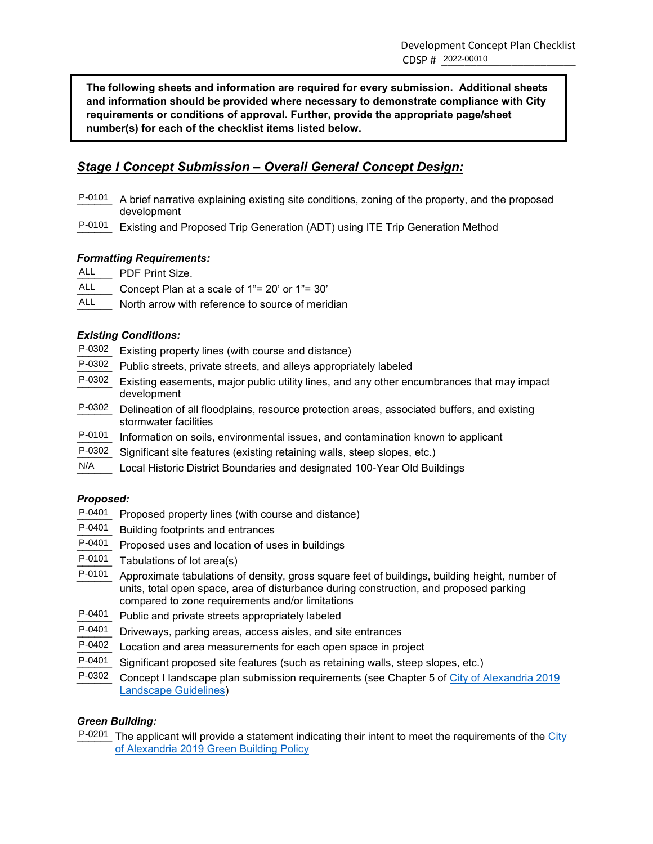**The following sheets and information are required for every submission. Additional sheets and information should be provided where necessary to demonstrate compliance with City requirements or conditions of approval. Further, provide the appropriate page/sheet number(s) for each of the checklist items listed below.**

# *Stage I Concept Submission – Overall General Concept Design:*

- P-0101 A brief narrative explaining existing site conditions, zoning of the property, and the proposed development
- \_\_\_\_\_\_ Existing and Proposed Trip Generation (ADT) using ITE Trip Generation Method P-0101

#### *Formatting Requirements:*

- PDF Print Size. ALL
- Concept Plan at a scale of  $1"$  = 20' or  $1"$  = 30' ALL
- North arrow with reference to source of meridian ALL

#### *Existing Conditions:*

- P-0302 Existing property lines (with course and distance)
- Public streets, private streets, and alleys appropriately labeled P-0302
- Existing easements, major public utility lines, and any other encumbrances that may impact development P-0302
- Delineation of all floodplains, resource protection areas, associated buffers, and existing stormwater facilities P-0302
- \_\_\_\_\_\_ Information on soils, environmental issues, and contamination known to applicant P-0101
- Significant site features (existing retaining walls, steep slopes, etc.) P-0302
- Local Historic District Boundaries and designated 100-Year Old Buildings N/A

#### *Proposed:*

- P-0401 Proposed property lines (with course and distance)
- \_\_\_\_\_\_ Building footprints and entrances P-0401
- Proposed uses and location of uses in buildings P-0401
- Tabulations of lot area(s) P-0101
- Approximate tabulations of density, gross square feet of buildings, building height, number of units, total open space, area of disturbance during construction, and proposed parking compared to zone requirements and/or limitations P-0101
- Public and private streets appropriately labeled P-0401
- Driveways, parking areas, access aisles, and site entrances P-0401
- Location and area measurements for each open space in project P-0402
- Significant proposed site features (such as retaining walls, steep slopes, etc.) P-0401
- \_\_\_\_\_\_ Concept I landscape plan submission requirements (see Chapter 5 of [City of Alexandria 2019](https://www.alexandriava.gov/uploadedFiles/recreation/ParkPlanning/LandscapeGuidelinesFinalv2Final.pdf)  [Landscape Guidelines\)](https://www.alexandriava.gov/uploadedFiles/recreation/ParkPlanning/LandscapeGuidelinesFinalv2Final.pdf) P-0302

#### *Green Building:*

 $P$ -0201 The applicant will provide a statement indicating their intent to meet the requirements of the City [of Alexandria 2019 Green Building Policy](https://www.alexandriava.gov/uploadedFiles/planning/info/GreenBuildingPolicy2019CCApproved.pdf)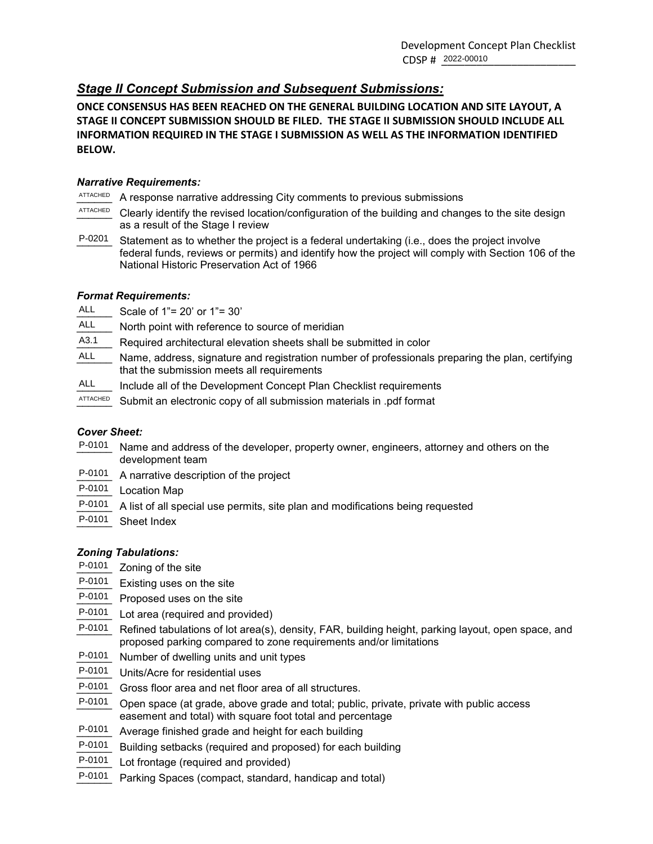# *Stage II Concept Submission and Subsequent Submissions:*

**ONCE CONSENSUS HAS BEEN REACHED ON THE GENERAL BUILDING LOCATION AND SITE LAYOUT, A STAGE II CONCEPT SUBMISSION SHOULD BE FILED. THE STAGE II SUBMISSION SHOULD INCLUDE ALL INFORMATION REQUIRED IN THE STAGE I SUBMISSION AS WELL AS THE INFORMATION IDENTIFIED BELOW.**

# *Narrative Requirements:*

A response narrative addressing City comments to previous submissions ATTACHED

- Clearly identify the revised location/configuration of the building and changes to the site design as a result of the Stage I review ATTACHED
- Statement as to whether the project is a federal undertaking (i.e., does the project involve federal funds, reviews or permits) and identify how the project will comply with Section 106 of the National Historic Preservation Act of 1966 P-0201

# *Format Requirements:*

| ALL | Scale of $1" = 20'$ or $1" = 30'$ |  |
|-----|-----------------------------------|--|
|-----|-----------------------------------|--|

- North point with reference to source of meridian ALL
- Required architectural elevation sheets shall be submitted in color A3.1
- ALL Name, address, signature and registration number of professionals preparing the plan, certifying that the submission meets all requirements
- Include all of the Development Concept Plan Checklist requirements ALL
- Submit an electronic copy of all submission materials in .pdf format ATTACHED

#### *Cover Sheet:*

- Name and address of the developer, property owner, engineers, attorney and others on the development team P-0101 ALL<br>ALL<br>Cover<br>P-0101<br>P-0101<br>P-0101<br>Zoning<br>P-0101<br>P-0101<br>P-0101<br>P-0101<br>P-0101<br>P-0101<br>P-0101<br>P-0101<br>P-0101<br>P-0101<br>P-0101<br>P-0101<br>P-0101<br>P-0101<br>P-0101<br>P-0101<br>P-0101<br>P-0101<br>P-0101<br>P-0101<br>P-0101<br>P-0101<br>P-0101<br>P-0101<br>P-0101<br>P-010
- \_\_\_\_\_\_ A narrative description of the project P-0101
- \_\_\_\_\_\_ Location Map P-0101
- A list of all special use permits, site plan and modifications being requested P-0101
- Sheet Index P-0101

#### *Zoning Tabulations:*

- Zoning of the site P-0101
- P-0101 Existing uses on the site
- Proposed uses on the site P-0101
- Lot area (required and provided) P-0101
- Refined tabulations of lot area(s), density, FAR, building height, parking layout, open space, and proposed parking compared to zone requirements and/or limitations P-0101
- Number of dwelling units and unit types P-0101
- \_\_\_\_\_\_ Units/Acre for residential uses P-0101
- Gross floor area and net floor area of all structures. P-0101
- \_\_\_\_\_\_ Open space (at grade, above grade and total; public, private, private with public access easement and total) with square foot total and percentage P-0101
- Average finished grade and height for each building P-0101
- Building setbacks (required and proposed) for each building P-0101
- Lot frontage (required and provided) P-0101
- P-0101 Parking Spaces (compact, standard, handicap and total)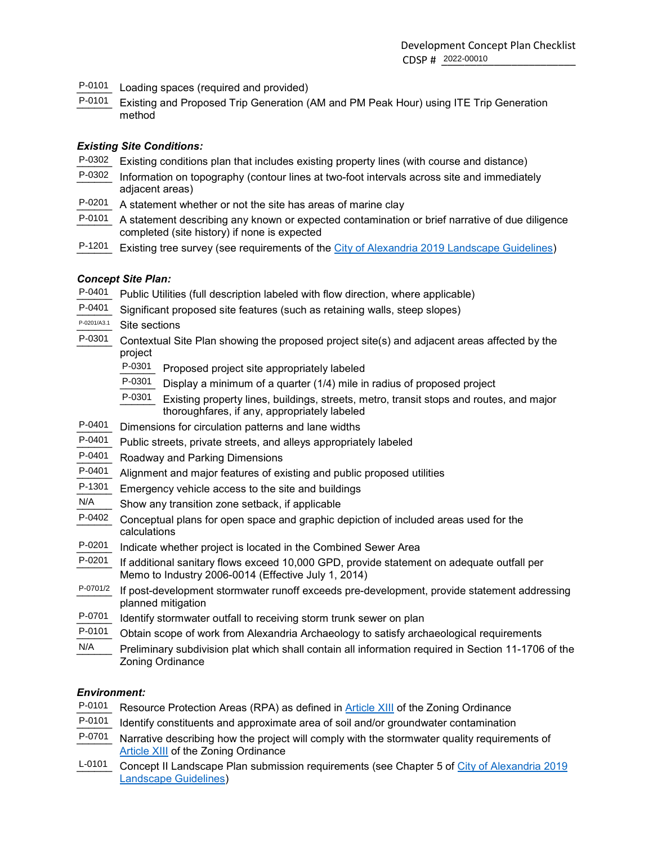\_\_\_\_\_\_ Loading spaces (required and provided) P-0101 2022-00010

P-0101 Existing and Proposed Trip Generation (AM and PM Peak Hour) using ITE Trip Generation method

#### *Existing Site Conditions:*

- Existing conditions plan that includes existing property lines (with course and distance) P-0302
- Information on topography (contour lines at two-foot intervals across site and immediately adjacent areas) P-0302
- A statement whether or not the site has areas of marine clay P-0201
- A statement describing any known or expected contamination or brief narrative of due diligence completed (site history) if none is expected P-0101
- Existing tree survey (see requirements of the [City of Alexandria 2019 Landscape Guidelines\)](https://www.alexandriava.gov/uploadedFiles/recreation/ParkPlanning/LandscapeGuidelinesFinalv2Final.pdf) P-1201

#### *Concept Site Plan:*

- Public Utilities (full description labeled with flow direction, where applicable) P-0401
- Significant proposed site features (such as retaining walls, steep slopes) P-0401
- Site sections P-0201/A3.1
- Contextual Site Plan showing the proposed project site(s) and adjacent areas affected by the project P-0301
	- Proposed project site appropriately labeled P-0301
	- Display a minimum of a quarter (1/4) mile in radius of proposed project P-0301
	- Existing property lines, buildings, streets, metro, transit stops and routes, and major thoroughfares, if any, appropriately labeled P-0301
- Dimensions for circulation patterns and lane widths P-0401
- Public streets, private streets, and alleys appropriately labeled P-0401
- \_\_\_\_\_\_ Roadway and Parking Dimensions P-0401
- Alignment and major features of existing and public proposed utilities P-0401
- Emergency vehicle access to the site and buildings P-1301
- Show any transition zone setback, if applicable N/A
- \_\_\_\_\_\_ Conceptual plans for open space and graphic depiction of included areas used for the calculations P-0402
- Indicate whether project is located in the Combined Sewer Area P-0201
- If additional sanitary flows exceed 10,000 GPD, provide statement on adequate outfall per Memo to Industry 2006-0014 (Effective July 1, 2014) P-0201
- If post-development stormwater runoff exceeds pre-development, provide statement addressing planned mitigation P-0701/2
- Identify stormwater outfall to receiving storm trunk sewer on plan P-0701
- \_\_\_\_\_\_ Obtain scope of work from Alexandria Archaeology to satisfy archaeological requirements P-0101
- Preliminary subdivision plat which shall contain all information required in Section 11-1706 of the Zoning Ordinance N/A

#### *Environment:*

- Resource Protection Areas (RPA) as defined in [Article XIII](https://library.municode.com/va/alexandria/codes/zoning?nodeId=ARTXIIIENMA) of the Zoning Ordinance P-0101
- \_\_\_\_\_\_ Identify constituents and approximate area of soil and/or groundwater contamination P-0101
- Narrative describing how the project will comply with the stormwater quality requirements of **[Article XIII](https://library.municode.com/va/alexandria/codes/zoning?nodeId=ARTXIIIENMA)** of the Zoning Ordinance P-0701
- L-0101 Concept II Landscape Plan submission requirements (see Chapter 5 of [City of Alexandria 2019](https://www.alexandriava.gov/uploadedFiles/recreation/ParkPlanning/LandscapeGuidelinesFinalv2Final.pdf) [Landscape Guidelines\)](https://www.alexandriava.gov/uploadedFiles/recreation/ParkPlanning/LandscapeGuidelinesFinalv2Final.pdf)